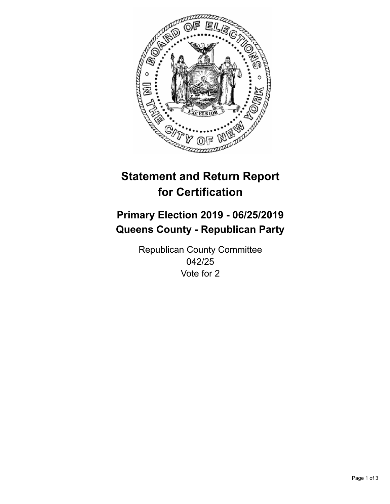

## **Statement and Return Report for Certification**

## **Primary Election 2019 - 06/25/2019 Queens County - Republican Party**

Republican County Committee 042/25 Vote for 2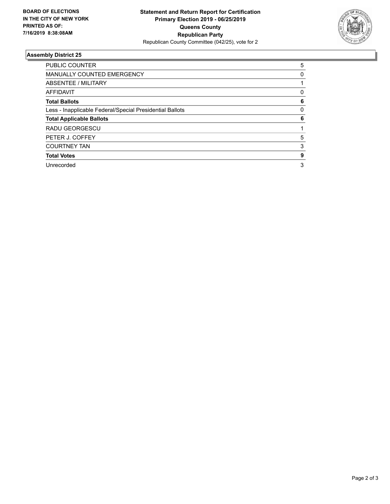

## **Assembly District 25**

| <b>PUBLIC COUNTER</b>                                    | 5        |
|----------------------------------------------------------|----------|
| <b>MANUALLY COUNTED EMERGENCY</b>                        | 0        |
| ABSENTEE / MILITARY                                      |          |
| AFFIDAVIT                                                | 0        |
| <b>Total Ballots</b>                                     | 6        |
| Less - Inapplicable Federal/Special Presidential Ballots | $\Omega$ |
| <b>Total Applicable Ballots</b>                          | 6        |
| RADU GEORGESCU                                           |          |
| PETER J. COFFEY                                          | 5        |
| <b>COURTNEY TAN</b>                                      | 3        |
| <b>Total Votes</b>                                       | 9        |
| Unrecorded                                               | 3        |